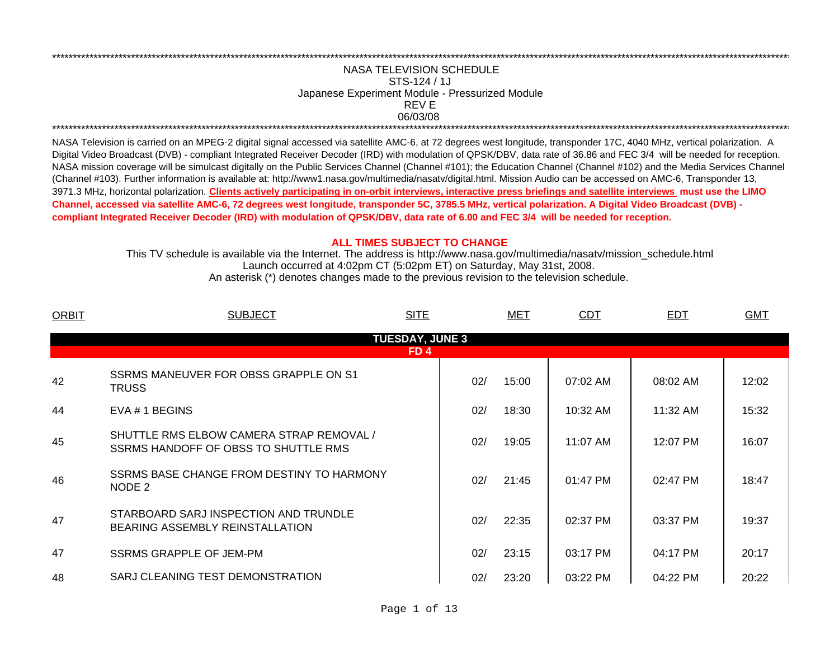## REV ENASA TELEVISION SCHEDULESTS-124 / 1JJapanese Experiment Module - Pressurized Module 06/03/08 \*\*\*\*\*\*\*\*\*\*\*\*\*\*\*\*\*\*\*\*\*\*\*\*\*\*\*\*\*\*\*\*\*\*\*\*\*\*\*\*\*\*\*\*\*\*\*\*\*\*\*\*\*\*\*\*\*\*\*\*\*\*\*\*\*\*\*\*\*\*\*\*\*\*\*\*\*\*\*\*\*\*\*\*\*\*\*\*\*\*\*\*\*\*\*\*\*\*\*\*\*\*\*\*\*\*\*\*\*\*\*\*\*\*\*\*\*\*\*\*\*\*\*\*\*\*\*\*\*\*\*\*\*\*\*\*\*\*\*\*\*\*\*\*\*\*\*\*\*\*\*\*\*\*\*\*\*\*\*\*\*\*\*\*\*\*\*\*\*\*\*\*\*\*\*\*\*\*

\*\*\*\*\*\*\*\*\*\*\*\*\*\*\*\*\*\*\*\*\*\*\*\*\*\*\*\*\*\*\*\*\*\*\*\*\*\*\*\*\*\*\*\*\*\*\*\*\*\*\*\*\*\*\*\*\*\*\*\*\*\*\*\*\*\*\*\*\*\*\*\*\*\*\*\*\*\*\*\*\*\*\*\*\*\*\*\*\*\*\*\*\*\*\*\*\*\*\*\*\*\*\*\*\*\*\*\*\*\*\*\*\*\*\*\*\*\*\*\*\*\*\*\*\*\*\*\*\*\*\*\*\*\*\*\*\*\*\*\*\*\*\*\*\*\*\*\*\*\*\*\*\*\*\*\*\*\*\*\*\*\*\*\*\*\*\*\*\*\*\*\*\*\*\*\*\*\*

NASA Television is carried on an MPEG-2 digital signal accessed via satellite AMC-6, at 72 degrees west longitude, transponder 17C, 4040 MHz, vertical polarization. A Digital Video Broadcast (DVB) - compliant Integrated Receiver Decoder (IRD) with modulation of QPSK/DBV, data rate of 36.86 and FEC 3/4 will be needed for reception. NASA mission coverage will be simulcast digitally on the Public Services Channel (Channel #101); the Education Channel (Channel #102) and the Media Services Channel (Channel #103). Further information is available at: http://www1.nasa.gov/multimedia/nasatv/digital.html. Mission Audio can be accessed on AMC-6, Transponder 13, 3971.3 MHz, horizontal polarization. **Clients actively participating in on-orbit interviews, interactive press briefings and satellite interviews must use the LIMO Channel, accessed via satellite AMC-6, 72 degrees west longitude, transponder 5C, 3785.5 MHz, vertical polarization. A Digital Video Broadcast (DVB) compliant Integrated Receiver Decoder (IRD) with modulation of QPSK/DBV, data rate of 6.00 and FEC 3/4 will be needed for reception.**

## **ALL TIMES SUBJECT TO CHANGE**

Launch occurred at 4:02pm CT (5:02pm ET) on Saturday, May 31st, 2008. This TV schedule is available via the Internet. The address is http://www.nasa.gov/multimedia/nasatv/mission\_schedule.html An asterisk (\*) denotes changes made to the previous revision to the television schedule.

| <b>ORBIT</b> | <b>SITE</b><br><b>SUBJECT</b>                                                    |                        | MET   | <b>CDT</b> | EDT      | <b>GMT</b> |
|--------------|----------------------------------------------------------------------------------|------------------------|-------|------------|----------|------------|
|              |                                                                                  | <b>TUESDAY, JUNE 3</b> |       |            |          |            |
|              |                                                                                  | FD <sub>4</sub>        |       |            |          |            |
| 42           | SSRMS MANEUVER FOR OBSS GRAPPLE ON S1<br><b>TRUSS</b>                            | 02/                    | 15:00 | 07:02 AM   | 08:02 AM | 12:02      |
| 44           | EVA # 1 BEGINS                                                                   | 02/                    | 18:30 | 10:32 AM   | 11:32 AM | 15:32      |
| 45           | SHUTTLE RMS ELBOW CAMERA STRAP REMOVAL /<br>SSRMS HANDOFF OF OBSS TO SHUTTLE RMS | 02/                    | 19:05 | 11:07 AM   | 12:07 PM | 16:07      |
| 46           | SSRMS BASE CHANGE FROM DESTINY TO HARMONY<br>NODE 2                              | 02/                    | 21:45 | $01:47$ PM | 02:47 PM | 18:47      |
| 47           | STARBOARD SARJ INSPECTION AND TRUNDLE<br>BEARING ASSEMBLY REINSTALLATION         | 02/                    | 22:35 | 02:37 PM   | 03:37 PM | 19:37      |
| 47           | SSRMS GRAPPLE OF JEM-PM                                                          | 02/                    | 23:15 | 03:17 PM   | 04:17 PM | 20:17      |
| 48           | SARJ CLEANING TEST DEMONSTRATION                                                 | 02/                    | 23:20 | 03:22 PM   | 04:22 PM | 20:22      |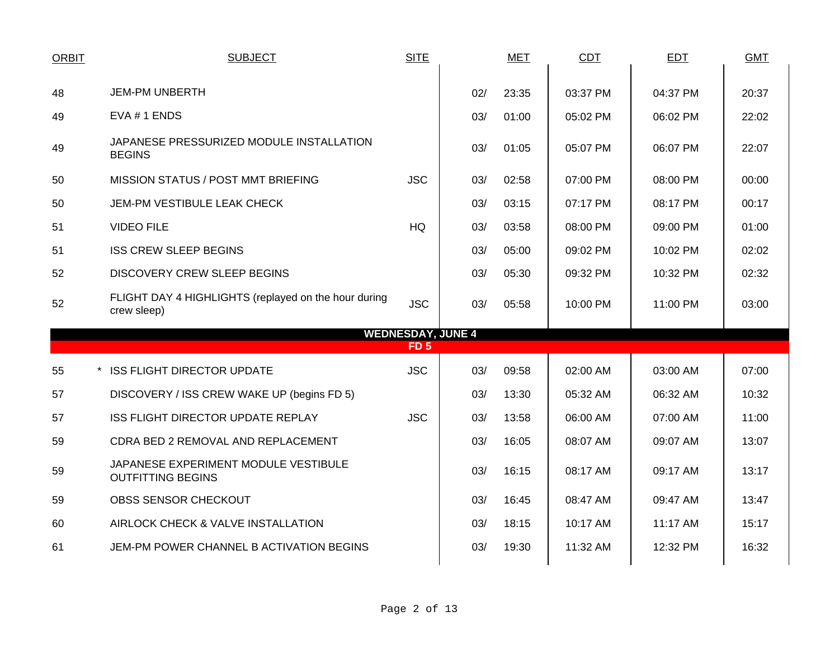| <b>ORBIT</b> | <b>SUBJECT</b>                                                      | <b>SITE</b>              |     | <b>MET</b> | CDT      | EDT      | <b>GMT</b> |
|--------------|---------------------------------------------------------------------|--------------------------|-----|------------|----------|----------|------------|
|              |                                                                     |                          |     |            |          |          |            |
| 48           | <b>JEM-PM UNBERTH</b>                                               |                          | 02/ | 23:35      | 03:37 PM | 04:37 PM | 20:37      |
| 49           | EVA #1 ENDS                                                         |                          | 03/ | 01:00      | 05:02 PM | 06:02 PM | 22:02      |
| 49           | JAPANESE PRESSURIZED MODULE INSTALLATION<br><b>BEGINS</b>           |                          | 03/ | 01:05      | 05:07 PM | 06:07 PM | 22:07      |
| 50           | MISSION STATUS / POST MMT BRIEFING                                  | <b>JSC</b>               | 03/ | 02:58      | 07:00 PM | 08:00 PM | 00:00      |
| 50           | JEM-PM VESTIBULE LEAK CHECK                                         |                          | 03/ | 03:15      | 07:17 PM | 08:17 PM | 00:17      |
| 51           | <b>VIDEO FILE</b>                                                   | <b>HQ</b>                | 03/ | 03:58      | 08:00 PM | 09:00 PM | 01:00      |
| 51           | <b>ISS CREW SLEEP BEGINS</b>                                        |                          | 03/ | 05:00      | 09:02 PM | 10:02 PM | 02:02      |
| 52           | <b>DISCOVERY CREW SLEEP BEGINS</b>                                  |                          | 03/ | 05:30      | 09:32 PM | 10:32 PM | 02:32      |
| 52           | FLIGHT DAY 4 HIGHLIGHTS (replayed on the hour during<br>crew sleep) | <b>JSC</b>               | 03/ | 05:58      | 10:00 PM | 11:00 PM | 03:00      |
|              |                                                                     | <b>WEDNESDAY, JUNE 4</b> |     |            |          |          |            |
|              |                                                                     | FD <sub>5</sub>          |     |            |          |          |            |
| 55           | * ISS FLIGHT DIRECTOR UPDATE                                        | <b>JSC</b>               | 03/ | 09:58      | 02:00 AM | 03:00 AM | 07:00      |
| 57           | DISCOVERY / ISS CREW WAKE UP (begins FD 5)                          |                          | 03/ | 13:30      | 05:32 AM | 06:32 AM | 10:32      |
| 57           | ISS FLIGHT DIRECTOR UPDATE REPLAY                                   | <b>JSC</b>               | 03/ | 13:58      | 06:00 AM | 07:00 AM | 11:00      |
| 59           | CDRA BED 2 REMOVAL AND REPLACEMENT                                  |                          | 03/ | 16:05      | 08:07 AM | 09:07 AM | 13:07      |
| 59           | JAPANESE EXPERIMENT MODULE VESTIBULE<br><b>OUTFITTING BEGINS</b>    |                          | 03/ | 16:15      | 08:17 AM | 09:17 AM | 13:17      |
| 59           | OBSS SENSOR CHECKOUT                                                |                          | 03/ | 16:45      | 08:47 AM | 09:47 AM | 13:47      |
| 60           | AIRLOCK CHECK & VALVE INSTALLATION                                  |                          | 03/ | 18:15      | 10:17 AM | 11:17 AM | 15:17      |
| 61           | JEM-PM POWER CHANNEL B ACTIVATION BEGINS                            |                          | 03/ | 19:30      | 11:32 AM | 12:32 PM | 16:32      |
|              |                                                                     |                          |     |            |          |          |            |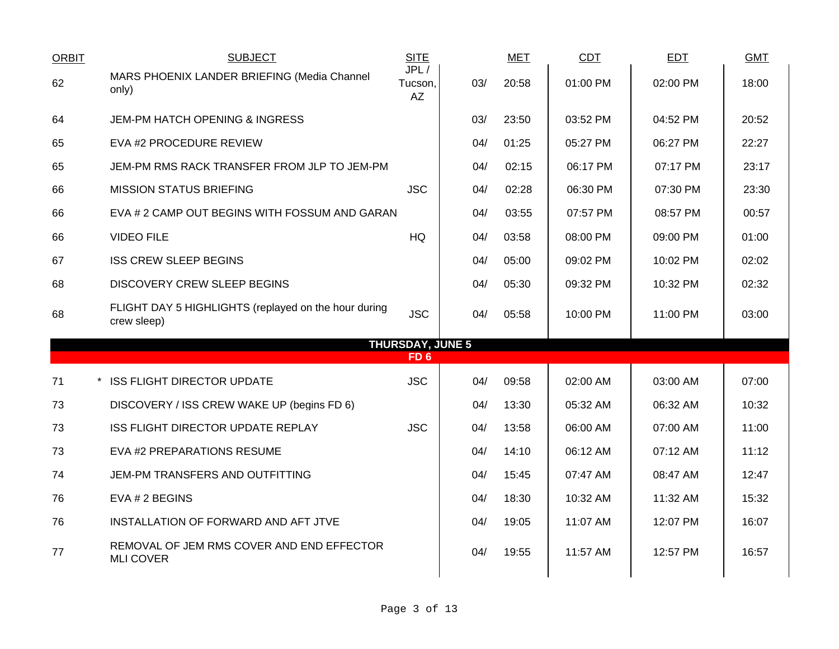| <b>ORBIT</b> | <b>SUBJECT</b>                                                      | <b>SITE</b>                                |     | <b>MET</b> | <b>CDT</b> | <b>EDT</b> | <b>GMT</b> |
|--------------|---------------------------------------------------------------------|--------------------------------------------|-----|------------|------------|------------|------------|
| 62           | MARS PHOENIX LANDER BRIEFING (Media Channel<br>only)                | JPL/<br>Tucson,<br>AZ                      | 03/ | 20:58      | 01:00 PM   | 02:00 PM   | 18:00      |
| 64           | <b>JEM-PM HATCH OPENING &amp; INGRESS</b>                           |                                            | 03/ | 23:50      | 03:52 PM   | 04:52 PM   | 20:52      |
| 65           | EVA #2 PROCEDURE REVIEW                                             |                                            | 04/ | 01:25      | 05:27 PM   | 06:27 PM   | 22:27      |
| 65           | JEM-PM RMS RACK TRANSFER FROM JLP TO JEM-PM                         |                                            | 04/ | 02:15      | 06:17 PM   | 07:17 PM   | 23:17      |
| 66           | <b>MISSION STATUS BRIEFING</b>                                      | <b>JSC</b>                                 | 04/ | 02:28      | 06:30 PM   | 07:30 PM   | 23:30      |
| 66           | EVA # 2 CAMP OUT BEGINS WITH FOSSUM AND GARAN                       |                                            | 04/ | 03:55      | 07:57 PM   | 08:57 PM   | 00:57      |
| 66           | <b>VIDEO FILE</b>                                                   | HQ                                         | 04/ | 03:58      | 08:00 PM   | 09:00 PM   | 01:00      |
| 67           | <b>ISS CREW SLEEP BEGINS</b>                                        |                                            | 04/ | 05:00      | 09:02 PM   | 10:02 PM   | 02:02      |
| 68           | <b>DISCOVERY CREW SLEEP BEGINS</b>                                  |                                            | 04/ | 05:30      | 09:32 PM   | 10:32 PM   | 02:32      |
| 68           | FLIGHT DAY 5 HIGHLIGHTS (replayed on the hour during<br>crew sleep) | <b>JSC</b>                                 | 04/ | 05:58      | 10:00 PM   | 11:00 PM   | 03:00      |
|              |                                                                     | <b>THURSDAY, JUNE 5</b><br>FD <sub>6</sub> |     |            |            |            |            |
| 71           | * ISS FLIGHT DIRECTOR UPDATE                                        | <b>JSC</b>                                 | 04/ | 09:58      | 02:00 AM   | 03:00 AM   | 07:00      |
| 73           | DISCOVERY / ISS CREW WAKE UP (begins FD 6)                          |                                            | 04/ | 13:30      | 05:32 AM   | 06:32 AM   | 10:32      |
| 73           | ISS FLIGHT DIRECTOR UPDATE REPLAY                                   | <b>JSC</b>                                 | 04/ | 13:58      | 06:00 AM   | 07:00 AM   | 11:00      |
|              |                                                                     |                                            |     |            |            |            |            |
| 73           | EVA #2 PREPARATIONS RESUME                                          |                                            | 04/ | 14:10      | 06:12 AM   | 07:12 AM   | 11:12      |
| 74           | JEM-PM TRANSFERS AND OUTFITTING                                     |                                            | 04/ | 15:45      | 07:47 AM   | 08:47 AM   | 12:47      |
| 76           | EVA # 2 BEGINS                                                      |                                            | 04/ | 18:30      | 10:32 AM   | 11:32 AM   | 15:32      |
| 76           | INSTALLATION OF FORWARD AND AFT JTVE                                |                                            | 04/ | 19:05      | 11:07 AM   | 12:07 PM   | 16:07      |
| 77           | REMOVAL OF JEM RMS COVER AND END EFFECTOR<br><b>MLI COVER</b>       |                                            | 04/ | 19:55      | 11:57 AM   | 12:57 PM   | 16:57      |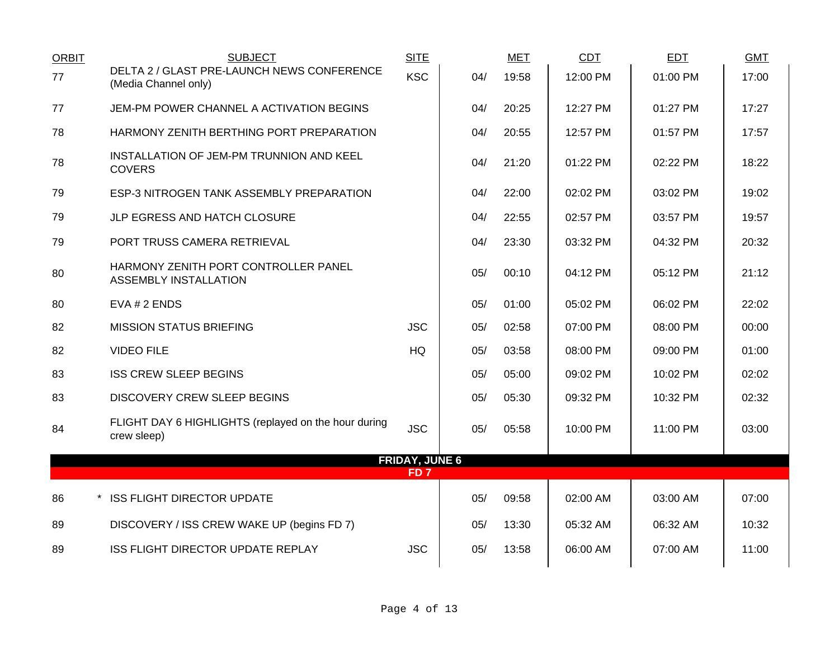| <b>ORBIT</b> | <b>SUBJECT</b>                                                      | <b>SITE</b>           |     | <b>MET</b> | <b>CDT</b> | <b>EDT</b> | <b>GMT</b> |
|--------------|---------------------------------------------------------------------|-----------------------|-----|------------|------------|------------|------------|
| 77           | DELTA 2 / GLAST PRE-LAUNCH NEWS CONFERENCE<br>(Media Channel only)  | <b>KSC</b>            | 04/ | 19:58      | 12:00 PM   | 01:00 PM   | 17:00      |
| 77           | JEM-PM POWER CHANNEL A ACTIVATION BEGINS                            |                       | 04/ | 20:25      | 12:27 PM   | 01:27 PM   | 17:27      |
| 78           | HARMONY ZENITH BERTHING PORT PREPARATION                            |                       | 04/ | 20:55      | 12:57 PM   | 01:57 PM   | 17:57      |
| 78           | INSTALLATION OF JEM-PM TRUNNION AND KEEL<br><b>COVERS</b>           |                       | 04/ | 21:20      | 01:22 PM   | 02:22 PM   | 18:22      |
| 79           | ESP-3 NITROGEN TANK ASSEMBLY PREPARATION                            |                       | 04/ | 22:00      | 02:02 PM   | 03:02 PM   | 19:02      |
| 79           | JLP EGRESS AND HATCH CLOSURE                                        |                       | 04/ | 22:55      | 02:57 PM   | 03:57 PM   | 19:57      |
| 79           | PORT TRUSS CAMERA RETRIEVAL                                         |                       | 04/ | 23:30      | 03:32 PM   | 04:32 PM   | 20:32      |
| 80           | HARMONY ZENITH PORT CONTROLLER PANEL<br>ASSEMBLY INSTALLATION       |                       | 05/ | 00:10      | 04:12 PM   | 05:12 PM   | 21:12      |
| 80           | EVA # 2 ENDS                                                        |                       | 05/ | 01:00      | 05:02 PM   | 06:02 PM   | 22:02      |
| 82           | <b>MISSION STATUS BRIEFING</b>                                      | <b>JSC</b>            | 05/ | 02:58      | 07:00 PM   | 08:00 PM   | 00:00      |
| 82           | <b>VIDEO FILE</b>                                                   | <b>HQ</b>             | 05/ | 03:58      | 08:00 PM   | 09:00 PM   | 01:00      |
| 83           | <b>ISS CREW SLEEP BEGINS</b>                                        |                       | 05/ | 05:00      | 09:02 PM   | 10:02 PM   | 02:02      |
| 83           | <b>DISCOVERY CREW SLEEP BEGINS</b>                                  |                       | 05/ | 05:30      | 09:32 PM   | 10:32 PM   | 02:32      |
| 84           | FLIGHT DAY 6 HIGHLIGHTS (replayed on the hour during<br>crew sleep) | <b>JSC</b>            | 05/ | 05:58      | 10:00 PM   | 11:00 PM   | 03:00      |
|              |                                                                     | <b>FRIDAY, JUNE 6</b> |     |            |            |            |            |
|              |                                                                     | FD <sub>7</sub>       |     |            |            |            |            |
| 86           | * ISS FLIGHT DIRECTOR UPDATE                                        |                       | 05/ | 09:58      | 02:00 AM   | 03:00 AM   | 07:00      |
| 89           | DISCOVERY / ISS CREW WAKE UP (begins FD 7)                          |                       | 05/ | 13:30      | 05:32 AM   | 06:32 AM   | 10:32      |
| 89           | ISS FLIGHT DIRECTOR UPDATE REPLAY                                   | <b>JSC</b>            | 05/ | 13:58      | 06:00 AM   | 07:00 AM   | 11:00      |
|              |                                                                     |                       |     |            |            |            |            |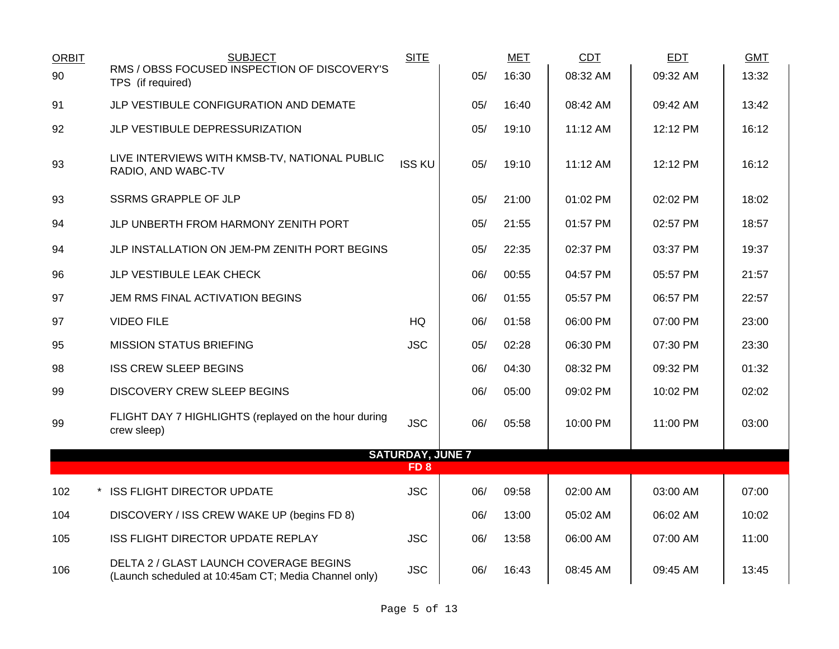| <b>ORBIT</b> | <b>SUBJECT</b>                                                                                 | <b>SITE</b>             |     | <b>MET</b> | <b>CDT</b> | <b>EDT</b> | <b>GMT</b> |
|--------------|------------------------------------------------------------------------------------------------|-------------------------|-----|------------|------------|------------|------------|
| 90           | RMS / OBSS FOCUSED INSPECTION OF DISCOVERY'S<br>TPS (if required)                              |                         | 05/ | 16:30      | 08:32 AM   | 09:32 AM   | 13:32      |
| 91           | JLP VESTIBULE CONFIGURATION AND DEMATE                                                         |                         | 05/ | 16:40      | 08:42 AM   | 09:42 AM   | 13:42      |
| 92           | JLP VESTIBULE DEPRESSURIZATION                                                                 |                         | 05/ | 19:10      | 11:12 AM   | 12:12 PM   | 16:12      |
| 93           | LIVE INTERVIEWS WITH KMSB-TV, NATIONAL PUBLIC<br>RADIO, AND WABC-TV                            | <b>ISS KU</b>           | 05/ | 19:10      | 11:12 AM   | 12:12 PM   | 16:12      |
| 93           | <b>SSRMS GRAPPLE OF JLP</b>                                                                    |                         | 05/ | 21:00      | 01:02 PM   | 02:02 PM   | 18:02      |
| 94           | JLP UNBERTH FROM HARMONY ZENITH PORT                                                           |                         | 05/ | 21:55      | 01:57 PM   | 02:57 PM   | 18:57      |
| 94           | JLP INSTALLATION ON JEM-PM ZENITH PORT BEGINS                                                  |                         | 05/ | 22:35      | 02:37 PM   | 03:37 PM   | 19:37      |
| 96           | JLP VESTIBULE LEAK CHECK                                                                       |                         | 06/ | 00:55      | 04:57 PM   | 05:57 PM   | 21:57      |
| 97           | JEM RMS FINAL ACTIVATION BEGINS                                                                |                         | 06/ | 01:55      | 05:57 PM   | 06:57 PM   | 22:57      |
| 97           | <b>VIDEO FILE</b>                                                                              | <b>HQ</b>               | 06/ | 01:58      | 06:00 PM   | 07:00 PM   | 23:00      |
| 95           | <b>MISSION STATUS BRIEFING</b>                                                                 | <b>JSC</b>              | 05/ | 02:28      | 06:30 PM   | 07:30 PM   | 23:30      |
| 98           | <b>ISS CREW SLEEP BEGINS</b>                                                                   |                         | 06/ | 04:30      | 08:32 PM   | 09:32 PM   | 01:32      |
| 99           | <b>DISCOVERY CREW SLEEP BEGINS</b>                                                             |                         | 06/ | 05:00      | 09:02 PM   | 10:02 PM   | 02:02      |
| 99           | FLIGHT DAY 7 HIGHLIGHTS (replayed on the hour during<br>crew sleep)                            | <b>JSC</b>              | 06/ | 05:58      | 10:00 PM   | 11:00 PM   | 03:00      |
|              |                                                                                                | <b>SATURDAY, JUNE 7</b> |     |            |            |            |            |
|              |                                                                                                | FD <sub>8</sub>         |     |            |            |            |            |
| 102          | * ISS FLIGHT DIRECTOR UPDATE                                                                   | <b>JSC</b>              | 06/ | 09:58      | 02:00 AM   | 03:00 AM   | 07:00      |
| 104          | DISCOVERY / ISS CREW WAKE UP (begins FD 8)                                                     |                         | 06/ | 13:00      | 05:02 AM   | 06:02 AM   | 10:02      |
| 105          | ISS FLIGHT DIRECTOR UPDATE REPLAY                                                              | <b>JSC</b>              | 06/ | 13:58      | 06:00 AM   | 07:00 AM   | 11:00      |
| 106          | DELTA 2 / GLAST LAUNCH COVERAGE BEGINS<br>(Launch scheduled at 10:45am CT; Media Channel only) | <b>JSC</b>              | 06/ | 16:43      | 08:45 AM   | 09:45 AM   | 13:45      |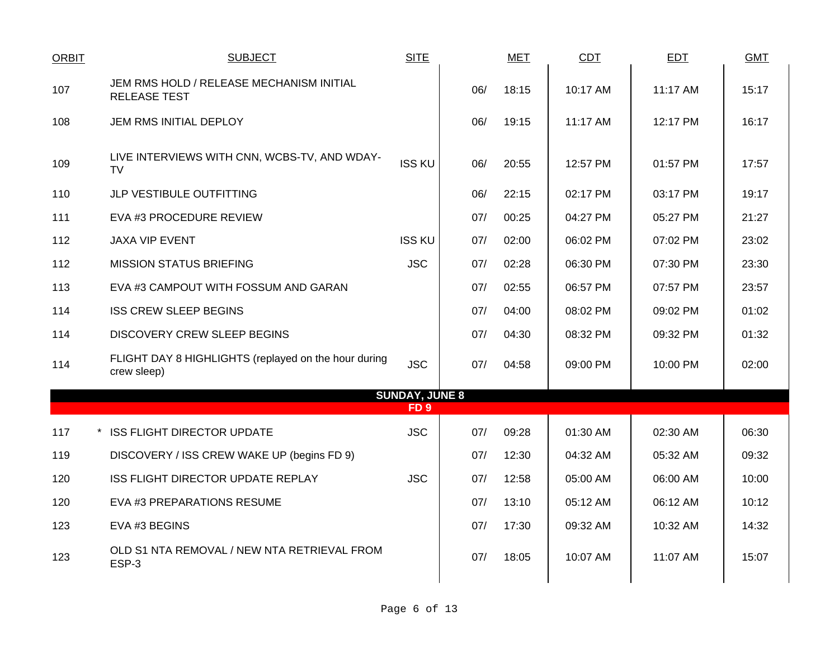| <b>ORBIT</b> | <b>SUBJECT</b>                                                      | <b>SITE</b>                              |     | <b>MET</b> | <b>CDT</b> | <b>EDT</b> | <b>GMT</b> |
|--------------|---------------------------------------------------------------------|------------------------------------------|-----|------------|------------|------------|------------|
| 107          | JEM RMS HOLD / RELEASE MECHANISM INITIAL<br><b>RELEASE TEST</b>     |                                          | 06/ | 18:15      | 10:17 AM   | 11:17 AM   | 15:17      |
| 108          | JEM RMS INITIAL DEPLOY                                              |                                          | 06/ | 19:15      | 11:17 AM   | 12:17 PM   | 16:17      |
| 109          | LIVE INTERVIEWS WITH CNN, WCBS-TV, AND WDAY-<br><b>TV</b>           | <b>ISS KU</b>                            | 06/ | 20:55      | 12:57 PM   | 01:57 PM   | 17:57      |
| 110          | JLP VESTIBULE OUTFITTING                                            |                                          | 06/ | 22:15      | 02:17 PM   | 03:17 PM   | 19:17      |
| 111          | EVA #3 PROCEDURE REVIEW                                             |                                          | 07/ | 00:25      | 04:27 PM   | 05:27 PM   | 21:27      |
| 112          | <b>JAXA VIP EVENT</b>                                               | <b>ISS KU</b>                            | 07/ | 02:00      | 06:02 PM   | 07:02 PM   | 23:02      |
| 112          | <b>MISSION STATUS BRIEFING</b>                                      | <b>JSC</b>                               | 07/ | 02:28      | 06:30 PM   | 07:30 PM   | 23:30      |
| 113          | EVA #3 CAMPOUT WITH FOSSUM AND GARAN                                |                                          | 07/ | 02:55      | 06:57 PM   | 07:57 PM   | 23:57      |
| 114          | <b>ISS CREW SLEEP BEGINS</b>                                        |                                          | 07/ | 04:00      | 08:02 PM   | 09:02 PM   | 01:02      |
| 114          | <b>DISCOVERY CREW SLEEP BEGINS</b>                                  |                                          | 07/ | 04:30      | 08:32 PM   | 09:32 PM   | 01:32      |
| 114          | FLIGHT DAY 8 HIGHLIGHTS (replayed on the hour during<br>crew sleep) | <b>JSC</b>                               | 07/ | 04:58      | 09:00 PM   | 10:00 PM   | 02:00      |
|              |                                                                     | <b>SUNDAY, JUNE 8</b><br>FD <sub>9</sub> |     |            |            |            |            |
| 117          | * ISS FLIGHT DIRECTOR UPDATE                                        | <b>JSC</b>                               | 07/ | 09:28      | 01:30 AM   | 02:30 AM   | 06:30      |
| 119          | DISCOVERY / ISS CREW WAKE UP (begins FD 9)                          |                                          | 07/ | 12:30      | 04:32 AM   | 05:32 AM   | 09:32      |
| 120          | ISS FLIGHT DIRECTOR UPDATE REPLAY                                   | <b>JSC</b>                               | 07/ | 12:58      | 05:00 AM   | 06:00 AM   | 10:00      |
| 120          | EVA #3 PREPARATIONS RESUME                                          |                                          | 07/ | 13:10      | 05:12 AM   | 06:12 AM   | 10:12      |
| 123          | EVA #3 BEGINS                                                       |                                          | 07/ | 17:30      | 09:32 AM   | 10:32 AM   | 14:32      |
| 123          | OLD S1 NTA REMOVAL / NEW NTA RETRIEVAL FROM<br>ESP-3                |                                          | 07/ | 18:05      | 10:07 AM   | 11:07 AM   | 15:07      |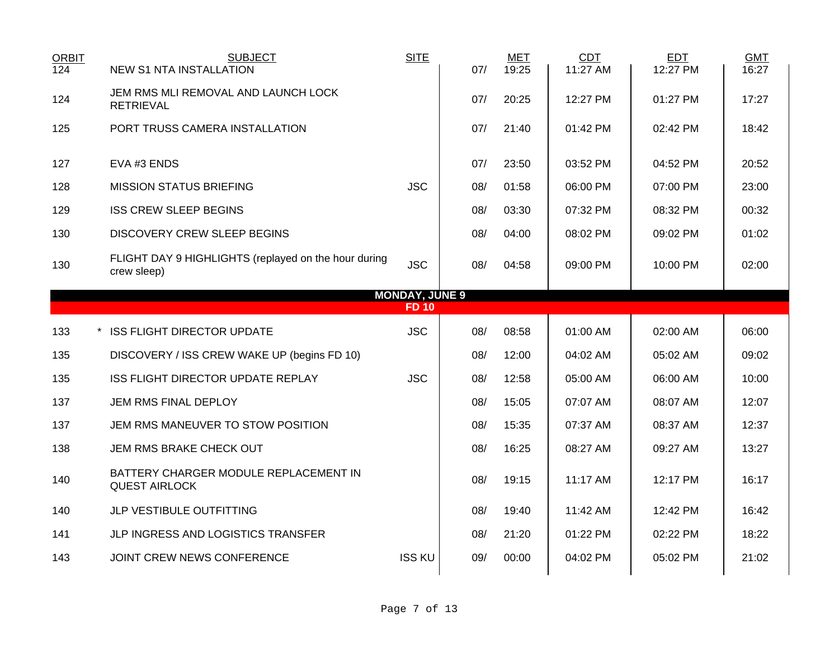| <b>ORBIT</b><br>124 | <b>SUBJECT</b><br><b>NEW S1 NTA INSTALLATION</b>                    | <b>SITE</b>                           | 07/ | <b>MET</b><br>19:25 | <b>CDT</b><br>11:27 AM | <b>EDT</b><br>12:27 PM | <b>GMT</b><br>16:27 |
|---------------------|---------------------------------------------------------------------|---------------------------------------|-----|---------------------|------------------------|------------------------|---------------------|
| 124                 | JEM RMS MLI REMOVAL AND LAUNCH LOCK<br><b>RETRIEVAL</b>             |                                       | 07/ | 20:25               | 12:27 PM               | 01:27 PM               | 17:27               |
| 125                 | PORT TRUSS CAMERA INSTALLATION                                      |                                       | 07/ | 21:40               | $01:42$ PM             | 02:42 PM               | 18:42               |
| 127                 | EVA #3 ENDS                                                         |                                       | 07/ | 23:50               | 03:52 PM               | 04:52 PM               | 20:52               |
| 128                 | <b>MISSION STATUS BRIEFING</b>                                      | <b>JSC</b>                            | 08/ | 01:58               | 06:00 PM               | 07:00 PM               | 23:00               |
| 129                 | <b>ISS CREW SLEEP BEGINS</b>                                        |                                       | 08/ | 03:30               | 07:32 PM               | 08:32 PM               | 00:32               |
| 130                 | <b>DISCOVERY CREW SLEEP BEGINS</b>                                  |                                       | 08/ | 04:00               | 08:02 PM               | 09:02 PM               | 01:02               |
| 130                 | FLIGHT DAY 9 HIGHLIGHTS (replayed on the hour during<br>crew sleep) | <b>JSC</b>                            | 08/ | 04:58               | 09:00 PM               | 10:00 PM               | 02:00               |
|                     |                                                                     | <b>MONDAY, JUNE 9</b><br><b>FD 10</b> |     |                     |                        |                        |                     |
| 133                 | * ISS FLIGHT DIRECTOR UPDATE                                        | <b>JSC</b>                            | 08/ | 08:58               | 01:00 AM               | 02:00 AM               | 06:00               |
| 135                 | DISCOVERY / ISS CREW WAKE UP (begins FD 10)                         |                                       | 08/ | 12:00               | 04:02 AM               | 05:02 AM               | 09:02               |
| 135                 | ISS FLIGHT DIRECTOR UPDATE REPLAY                                   | <b>JSC</b>                            | 08/ | 12:58               | 05:00 AM               | 06:00 AM               | 10:00               |
| 137                 | JEM RMS FINAL DEPLOY                                                |                                       | 08/ | 15:05               | 07:07 AM               | 08:07 AM               | 12:07               |
|                     |                                                                     |                                       |     |                     |                        |                        |                     |
| 137                 | JEM RMS MANEUVER TO STOW POSITION                                   |                                       | 08/ | 15:35               | 07:37 AM               | 08:37 AM               | 12:37               |
| 138                 | JEM RMS BRAKE CHECK OUT                                             |                                       | 08/ | 16:25               | 08:27 AM               | 09:27 AM               | 13:27               |
| 140                 | BATTERY CHARGER MODULE REPLACEMENT IN<br><b>QUEST AIRLOCK</b>       |                                       | 08/ | 19:15               | 11:17 AM               | 12:17 PM               | 16:17               |
| 140                 | JLP VESTIBULE OUTFITTING                                            |                                       | 08/ | 19:40               | 11:42 AM               | 12:42 PM               | 16:42               |
| 141                 | JLP INGRESS AND LOGISTICS TRANSFER                                  |                                       | 08/ | 21:20               | 01:22 PM               | 02:22 PM               | 18:22               |
| 143                 | JOINT CREW NEWS CONFERENCE                                          | <b>ISS KU</b>                         | 09/ | 00:00               | 04:02 PM               | 05:02 PM               | 21:02               |
|                     |                                                                     |                                       |     |                     |                        |                        |                     |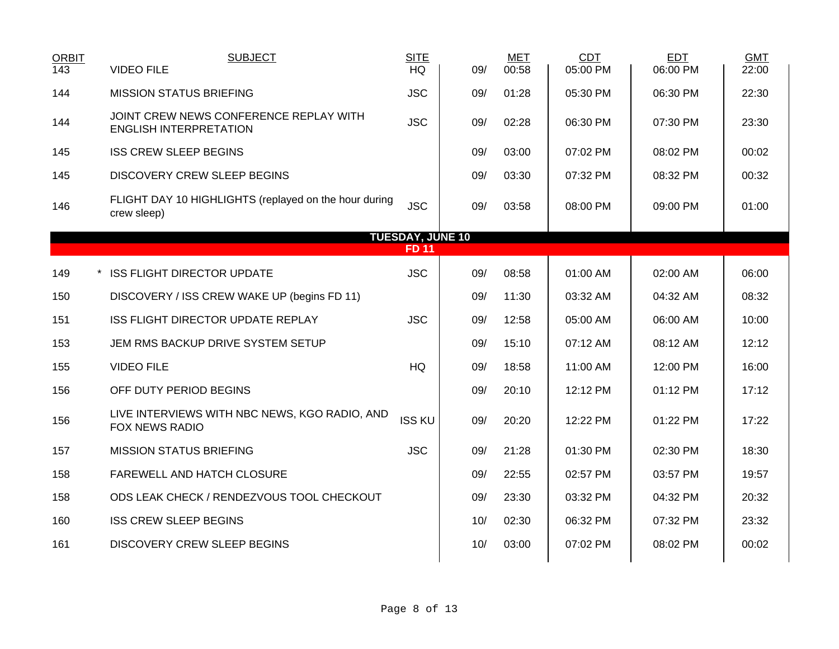| <b>ORBIT</b><br>143 | <b>SUBJECT</b><br><b>VIDEO FILE</b>                                     | <b>SITE</b><br>HQ       | 09/ | <b>MET</b><br>00:58 | CDT<br>05:00 PM | <b>EDT</b><br>06:00 PM | <b>GMT</b><br>22:00 |
|---------------------|-------------------------------------------------------------------------|-------------------------|-----|---------------------|-----------------|------------------------|---------------------|
| 144                 | <b>MISSION STATUS BRIEFING</b>                                          | <b>JSC</b>              | 09/ | 01:28               | 05:30 PM        | 06:30 PM               | 22:30               |
| 144                 | JOINT CREW NEWS CONFERENCE REPLAY WITH<br><b>ENGLISH INTERPRETATION</b> | <b>JSC</b>              | 09/ | 02:28               | 06:30 PM        | 07:30 PM               | 23:30               |
| 145                 | <b>ISS CREW SLEEP BEGINS</b>                                            |                         | 09/ | 03:00               | 07:02 PM        | 08:02 PM               | 00:02               |
| 145                 | <b>DISCOVERY CREW SLEEP BEGINS</b>                                      |                         | 09/ | 03:30               | 07:32 PM        | 08:32 PM               | 00:32               |
| 146                 | FLIGHT DAY 10 HIGHLIGHTS (replayed on the hour during<br>crew sleep)    | <b>JSC</b>              | 09/ | 03:58               | 08:00 PM        | 09:00 PM               | 01:00               |
|                     |                                                                         | <b>TUESDAY, JUNE 10</b> |     |                     |                 |                        |                     |
|                     |                                                                         | <b>FD 11</b>            |     |                     |                 |                        |                     |
| 149                 | * ISS FLIGHT DIRECTOR UPDATE                                            | <b>JSC</b>              | 09/ | 08:58               | 01:00 AM        | 02:00 AM               | 06:00               |
| 150                 | DISCOVERY / ISS CREW WAKE UP (begins FD 11)                             |                         | 09/ | 11:30               | 03:32 AM        | 04:32 AM               | 08:32               |
| 151                 | ISS FLIGHT DIRECTOR UPDATE REPLAY                                       | <b>JSC</b>              | 09/ | 12:58               | 05:00 AM        | 06:00 AM               | 10:00               |
| 153                 | JEM RMS BACKUP DRIVE SYSTEM SETUP                                       |                         | 09/ | 15:10               | 07:12 AM        | 08:12 AM               | 12:12               |
| 155                 | <b>VIDEO FILE</b>                                                       | HQ                      | 09/ | 18:58               | 11:00 AM        | 12:00 PM               | 16:00               |
| 156                 | OFF DUTY PERIOD BEGINS                                                  |                         | 09/ | 20:10               | 12:12 PM        | 01:12 PM               | 17:12               |
| 156                 | LIVE INTERVIEWS WITH NBC NEWS, KGO RADIO, AND<br>FOX NEWS RADIO         | <b>ISS KU</b>           | 09/ | 20:20               | 12:22 PM        | 01:22 PM               | 17:22               |
| 157                 | <b>MISSION STATUS BRIEFING</b>                                          | <b>JSC</b>              | 09/ | 21:28               | 01:30 PM        | 02:30 PM               | 18:30               |
| 158                 | FAREWELL AND HATCH CLOSURE                                              |                         | 09/ | 22:55               | 02:57 PM        | 03:57 PM               | 19:57               |
| 158                 | ODS LEAK CHECK / RENDEZVOUS TOOL CHECKOUT                               |                         | 09/ | 23:30               | 03:32 PM        | 04:32 PM               | 20:32               |
| 160                 | <b>ISS CREW SLEEP BEGINS</b>                                            |                         | 10/ | 02:30               | 06:32 PM        | 07:32 PM               | 23:32               |
| 161                 | <b>DISCOVERY CREW SLEEP BEGINS</b>                                      |                         | 10/ | 03:00               | 07:02 PM        | 08:02 PM               | 00:02               |
|                     |                                                                         |                         |     |                     |                 |                        |                     |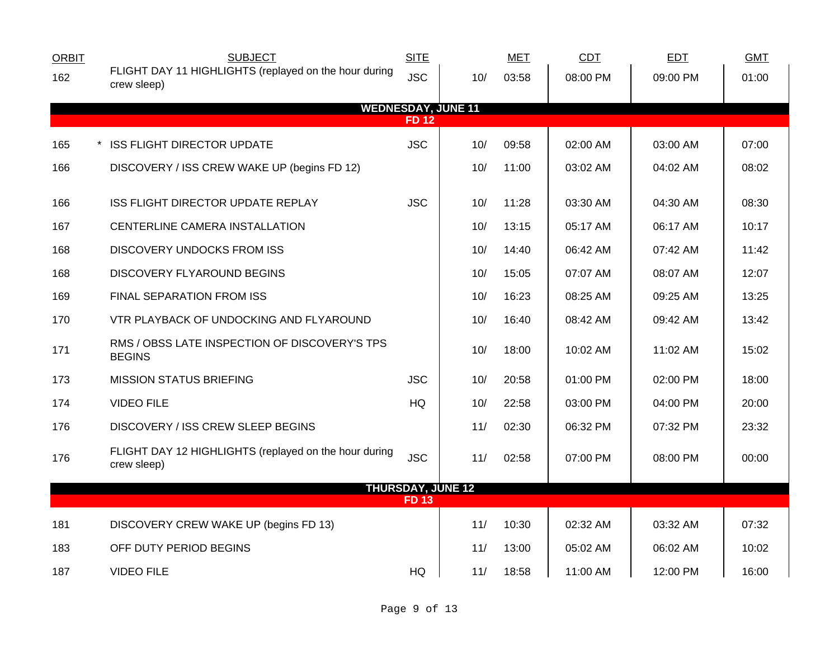| <b>ORBIT</b> | <b>SUBJECT</b>                                                       | <b>SITE</b> |                           | <b>MET</b> | CDT      | <b>EDT</b> | <b>GMT</b> |
|--------------|----------------------------------------------------------------------|-------------|---------------------------|------------|----------|------------|------------|
| 162          | FLIGHT DAY 11 HIGHLIGHTS (replayed on the hour during<br>crew sleep) | <b>JSC</b>  | 10/                       | 03:58      | 08:00 PM | 09:00 PM   | 01:00      |
|              |                                                                      |             | <b>WEDNESDAY, JUNE 11</b> |            |          |            |            |
|              |                                                                      | <b>FD12</b> |                           |            |          |            |            |
| 165          | <b>ISS FLIGHT DIRECTOR UPDATE</b>                                    | <b>JSC</b>  | 10/                       | 09:58      | 02:00 AM | 03:00 AM   | 07:00      |
| 166          | DISCOVERY / ISS CREW WAKE UP (begins FD 12)                          |             | 10/                       | 11:00      | 03:02 AM | 04:02 AM   | 08:02      |
| 166          | ISS FLIGHT DIRECTOR UPDATE REPLAY                                    | <b>JSC</b>  | 10/                       | 11:28      | 03:30 AM | 04:30 AM   | 08:30      |
| 167          | CENTERLINE CAMERA INSTALLATION                                       |             | 10/                       | 13:15      | 05:17 AM | 06:17 AM   | 10:17      |
| 168          | <b>DISCOVERY UNDOCKS FROM ISS</b>                                    |             | 10/                       | 14:40      | 06:42 AM | 07:42 AM   | 11:42      |
| 168          | DISCOVERY FLYAROUND BEGINS                                           |             | 10/                       | 15:05      | 07:07 AM | 08:07 AM   | 12:07      |
| 169          | FINAL SEPARATION FROM ISS                                            |             | 10/                       | 16:23      | 08:25 AM | 09:25 AM   | 13:25      |
| 170          | VTR PLAYBACK OF UNDOCKING AND FLYAROUND                              |             | 10/                       | 16:40      | 08:42 AM | 09:42 AM   | 13:42      |
| 171          | RMS / OBSS LATE INSPECTION OF DISCOVERY'S TPS<br><b>BEGINS</b>       |             | 10/                       | 18:00      | 10:02 AM | 11:02 AM   | 15:02      |
| 173          | <b>MISSION STATUS BRIEFING</b>                                       | <b>JSC</b>  | 10/                       | 20:58      | 01:00 PM | 02:00 PM   | 18:00      |
| 174          | <b>VIDEO FILE</b>                                                    | HQ          | 10/                       | 22:58      | 03:00 PM | 04:00 PM   | 20:00      |
| 176          | <b>DISCOVERY / ISS CREW SLEEP BEGINS</b>                             |             | 11/                       | 02:30      | 06:32 PM | 07:32 PM   | 23:32      |
| 176          | FLIGHT DAY 12 HIGHLIGHTS (replayed on the hour during<br>crew sleep) | <b>JSC</b>  | 11/                       | 02:58      | 07:00 PM | 08:00 PM   | 00:00      |
|              |                                                                      |             | <b>THURSDAY, JUNE 12</b>  |            |          |            |            |
|              |                                                                      | <b>FD13</b> |                           |            |          |            |            |
| 181          | DISCOVERY CREW WAKE UP (begins FD 13)                                |             | 11/                       | 10:30      | 02:32 AM | 03:32 AM   | 07:32      |
| 183          | OFF DUTY PERIOD BEGINS                                               |             | 11/                       | 13:00      | 05:02 AM | 06:02 AM   | 10:02      |
| 187          | <b>VIDEO FILE</b>                                                    | HQ          | 11/                       | 18:58      | 11:00 AM | 12:00 PM   | 16:00      |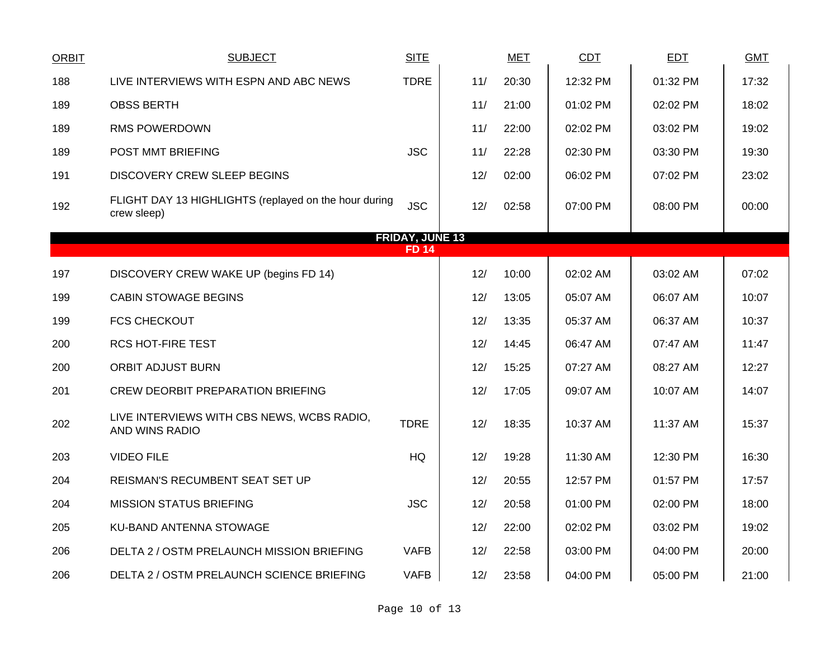| <b>ORBIT</b> | <b>SUBJECT</b>                                                       | <b>SITE</b>            |     | <b>MET</b> | CDT      | EDT      | <b>GMT</b> |
|--------------|----------------------------------------------------------------------|------------------------|-----|------------|----------|----------|------------|
| 188          | LIVE INTERVIEWS WITH ESPN AND ABC NEWS                               | <b>TDRE</b>            | 11/ | 20:30      | 12:32 PM | 01:32 PM | 17:32      |
| 189          | <b>OBSS BERTH</b>                                                    |                        | 11/ | 21:00      | 01:02 PM | 02:02 PM | 18:02      |
| 189          | <b>RMS POWERDOWN</b>                                                 |                        | 11/ | 22:00      | 02:02 PM | 03:02 PM | 19:02      |
| 189          | POST MMT BRIEFING                                                    | <b>JSC</b>             | 11/ | 22:28      | 02:30 PM | 03:30 PM | 19:30      |
| 191          | DISCOVERY CREW SLEEP BEGINS                                          |                        | 12/ | 02:00      | 06:02 PM | 07:02 PM | 23:02      |
| 192          | FLIGHT DAY 13 HIGHLIGHTS (replayed on the hour during<br>crew sleep) | <b>JSC</b>             | 12/ | 02:58      | 07:00 PM | 08:00 PM | 00:00      |
|              |                                                                      | <b>FRIDAY, JUNE 13</b> |     |            |          |          |            |
|              |                                                                      | <b>FD 14</b>           |     |            |          |          |            |
| 197          | DISCOVERY CREW WAKE UP (begins FD 14)                                |                        | 12/ | 10:00      | 02:02 AM | 03:02 AM | 07:02      |
| 199          | <b>CABIN STOWAGE BEGINS</b>                                          |                        | 12/ | 13:05      | 05:07 AM | 06:07 AM | 10:07      |
| 199          | <b>FCS CHECKOUT</b>                                                  |                        | 12/ | 13:35      | 05:37 AM | 06:37 AM | 10:37      |
| 200          | <b>RCS HOT-FIRE TEST</b>                                             |                        | 12/ | 14:45      | 06:47 AM | 07:47 AM | 11:47      |
| 200          | <b>ORBIT ADJUST BURN</b>                                             |                        | 12/ | 15:25      | 07:27 AM | 08:27 AM | 12:27      |
| 201          | <b>CREW DEORBIT PREPARATION BRIEFING</b>                             |                        | 12/ | 17:05      | 09:07 AM | 10:07 AM | 14:07      |
| 202          | LIVE INTERVIEWS WITH CBS NEWS, WCBS RADIO,<br>AND WINS RADIO         | <b>TDRE</b>            | 12/ | 18:35      | 10:37 AM | 11:37 AM | 15:37      |
| 203          | <b>VIDEO FILE</b>                                                    | <b>HQ</b>              | 12/ | 19:28      | 11:30 AM | 12:30 PM | 16:30      |
| 204          | REISMAN'S RECUMBENT SEAT SET UP                                      |                        | 12/ | 20:55      | 12:57 PM | 01:57 PM | 17:57      |
| 204          | <b>MISSION STATUS BRIEFING</b>                                       | <b>JSC</b>             | 12/ | 20:58      | 01:00 PM | 02:00 PM | 18:00      |
| 205          | KU-BAND ANTENNA STOWAGE                                              |                        | 12/ | 22:00      | 02:02 PM | 03:02 PM | 19:02      |
| 206          | DELTA 2 / OSTM PRELAUNCH MISSION BRIEFING                            | <b>VAFB</b>            | 12/ | 22:58      | 03:00 PM | 04:00 PM | 20:00      |
| 206          | DELTA 2 / OSTM PRELAUNCH SCIENCE BRIEFING                            | <b>VAFB</b>            | 12/ | 23:58      | 04:00 PM | 05:00 PM | 21:00      |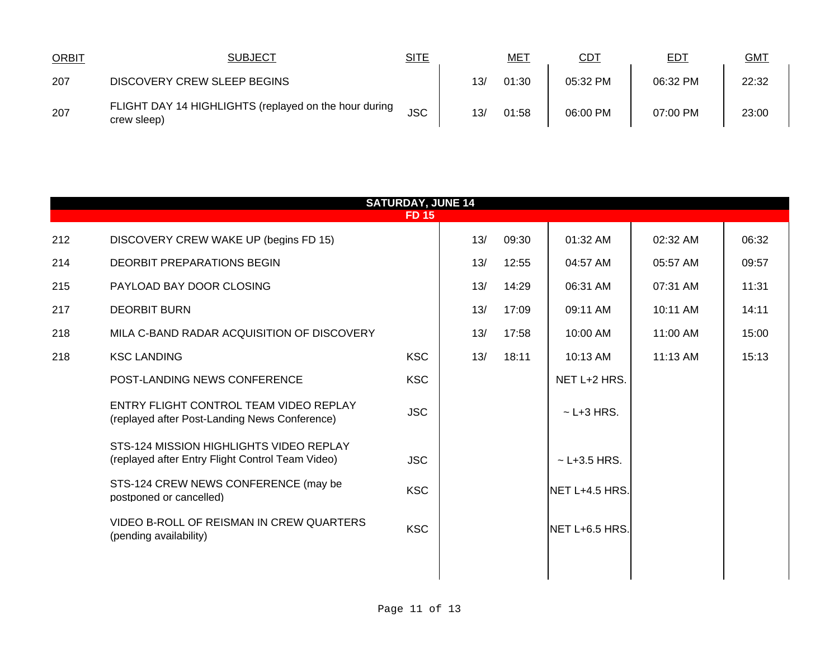| <b>ORBIT</b> | <b>SUBJECT</b>                                                       | SITE       |     | <u>ME1</u> | <u>CD1</u> | <u>ED1</u> | <b>GMT</b> |
|--------------|----------------------------------------------------------------------|------------|-----|------------|------------|------------|------------|
| 207          | DISCOVERY CREW SLEEP BEGINS                                          |            | 13/ | 01:30      | 05:32 PM   | 06:32 PM   | 22:32      |
| 207          | FLIGHT DAY 14 HIGHLIGHTS (replayed on the hour during<br>crew sleep) | <b>JSC</b> | 13/ | 01:58      | 06:00 PM   | 07:00 PM   | 23:00      |

|     | <b>SATURDAY, JUNE 14</b><br><b>FD 15</b>                                                    |            |     |       |                   |          |       |  |  |  |  |
|-----|---------------------------------------------------------------------------------------------|------------|-----|-------|-------------------|----------|-------|--|--|--|--|
| 212 | DISCOVERY CREW WAKE UP (begins FD 15)                                                       |            | 13/ | 09:30 | 01:32 AM          | 02:32 AM | 06:32 |  |  |  |  |
| 214 | DEORBIT PREPARATIONS BEGIN                                                                  |            | 13/ | 12:55 | 04:57 AM          | 05:57 AM | 09:57 |  |  |  |  |
| 215 | PAYLOAD BAY DOOR CLOSING                                                                    |            | 13/ | 14:29 | 06:31 AM          | 07:31 AM | 11:31 |  |  |  |  |
| 217 | <b>DEORBIT BURN</b>                                                                         |            | 13/ | 17:09 | 09:11 AM          | 10:11 AM | 14:11 |  |  |  |  |
| 218 | MILA C-BAND RADAR ACQUISITION OF DISCOVERY                                                  |            | 13/ | 17:58 | 10:00 AM          | 11:00 AM | 15:00 |  |  |  |  |
| 218 | <b>KSC LANDING</b>                                                                          | <b>KSC</b> | 13/ | 18:11 | 10:13 AM          | 11:13 AM | 15:13 |  |  |  |  |
|     | POST-LANDING NEWS CONFERENCE                                                                | <b>KSC</b> |     |       | NET L+2 HRS.      |          |       |  |  |  |  |
|     | ENTRY FLIGHT CONTROL TEAM VIDEO REPLAY<br>(replayed after Post-Landing News Conference)     | <b>JSC</b> |     |       | $\sim$ L+3 HRS.   |          |       |  |  |  |  |
|     | STS-124 MISSION HIGHLIGHTS VIDEO REPLAY<br>(replayed after Entry Flight Control Team Video) | <b>JSC</b> |     |       | $\sim$ L+3.5 HRS. |          |       |  |  |  |  |
|     | STS-124 CREW NEWS CONFERENCE (may be<br>postponed or cancelled)                             | <b>KSC</b> |     |       | NET L+4.5 HRS.    |          |       |  |  |  |  |
|     | VIDEO B-ROLL OF REISMAN IN CREW QUARTERS<br>(pending availability)                          | <b>KSC</b> |     |       | NET L+6.5 HRS.    |          |       |  |  |  |  |
|     |                                                                                             |            |     |       |                   |          |       |  |  |  |  |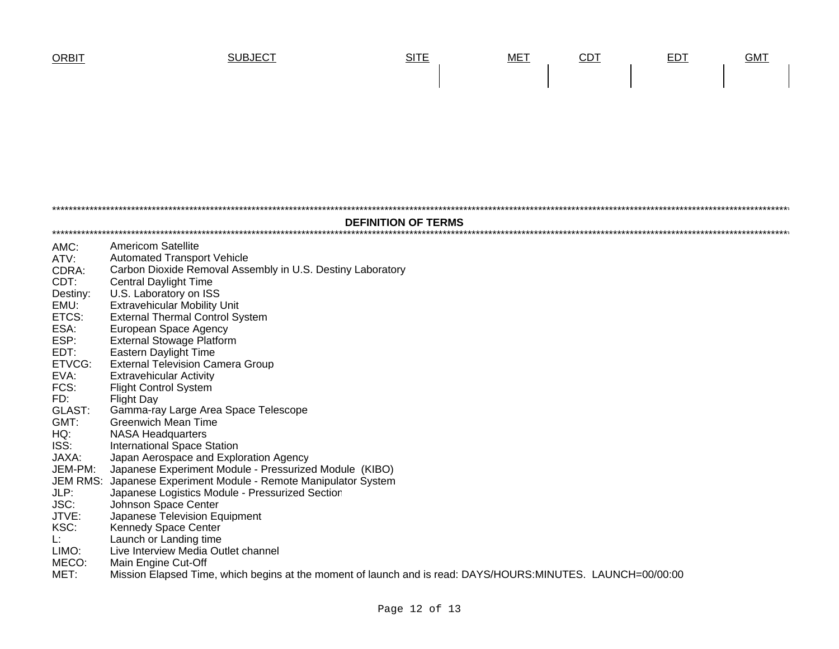

| <b>DEFINITION OF TERMS</b> |                                                                                                             |  |  |  |  |  |  |
|----------------------------|-------------------------------------------------------------------------------------------------------------|--|--|--|--|--|--|
| AMC:                       | <b>Americom Satellite</b>                                                                                   |  |  |  |  |  |  |
| ATV:                       | <b>Automated Transport Vehicle</b>                                                                          |  |  |  |  |  |  |
| CDRA:                      | Carbon Dioxide Removal Assembly in U.S. Destiny Laboratory                                                  |  |  |  |  |  |  |
| CDT:                       | <b>Central Daylight Time</b>                                                                                |  |  |  |  |  |  |
| Destiny:                   | U.S. Laboratory on ISS                                                                                      |  |  |  |  |  |  |
| EMU:                       | <b>Extravehicular Mobility Unit</b>                                                                         |  |  |  |  |  |  |
| ETCS:                      | <b>External Thermal Control System</b>                                                                      |  |  |  |  |  |  |
| ESA:                       | European Space Agency                                                                                       |  |  |  |  |  |  |
| ESP:                       | <b>External Stowage Platform</b>                                                                            |  |  |  |  |  |  |
| EDT:                       | Eastern Daylight Time                                                                                       |  |  |  |  |  |  |
| ETVCG:                     | <b>External Television Camera Group</b>                                                                     |  |  |  |  |  |  |
| EVA:                       | <b>Extravehicular Activity</b>                                                                              |  |  |  |  |  |  |
| FCS:                       | <b>Flight Control System</b>                                                                                |  |  |  |  |  |  |
| FD:                        | <b>Flight Day</b>                                                                                           |  |  |  |  |  |  |
| GLAST:                     | Gamma-ray Large Area Space Telescope                                                                        |  |  |  |  |  |  |
| GMT:                       | <b>Greenwich Mean Time</b>                                                                                  |  |  |  |  |  |  |
| HQ:                        | <b>NASA Headquarters</b>                                                                                    |  |  |  |  |  |  |
| ISS:                       | <b>International Space Station</b>                                                                          |  |  |  |  |  |  |
| JAXA:                      | Japan Aerospace and Exploration Agency                                                                      |  |  |  |  |  |  |
| JEM-PM:                    | Japanese Experiment Module - Pressurized Module (KIBO)                                                      |  |  |  |  |  |  |
| <b>JEM RMS:</b>            | Japanese Experiment Module - Remote Manipulator System                                                      |  |  |  |  |  |  |
| JLP:                       | Japanese Logistics Module - Pressurized Section                                                             |  |  |  |  |  |  |
| JSC:                       | Johnson Space Center                                                                                        |  |  |  |  |  |  |
| JTVE:                      | Japanese Television Equipment                                                                               |  |  |  |  |  |  |
| KSC:                       | <b>Kennedy Space Center</b>                                                                                 |  |  |  |  |  |  |
| Ŀ.                         | Launch or Landing time                                                                                      |  |  |  |  |  |  |
| LIMO:                      | Live Interview Media Outlet channel                                                                         |  |  |  |  |  |  |
| MECO:                      | Main Engine Cut-Off                                                                                         |  |  |  |  |  |  |
| MET:                       | Mission Elapsed Time, which begins at the moment of launch and is read: DAYS/HOURS:MINUTES. LAUNCH=00/00:00 |  |  |  |  |  |  |